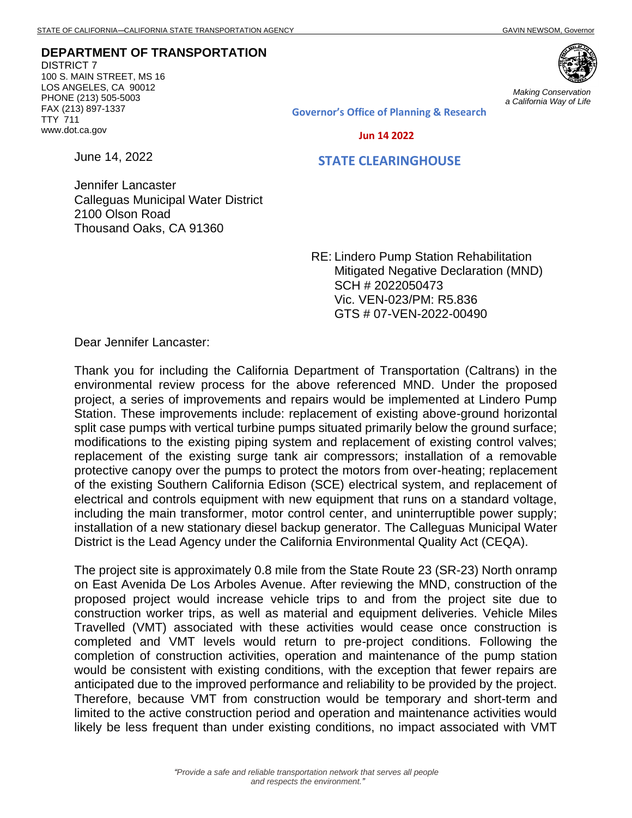**DEPARTMENT OF TRANSPORTATION**

DISTRICT 7 100 S. MAIN STREET, MS 16 LOS ANGELES, CA 90012 PHONE (213) 505-5003 FAX (213) 897-1337 TTY 711 www.dot.ca.gov



*Making Conservation a California Way of Life*

**Governor's Office of Planning & Research**

 **Jun 14 2022**

June 14, 2022

## **STATE CLEARINGHOUSE**

Jennifer Lancaster Calleguas Municipal Water District 2100 Olson Road Thousand Oaks, CA 91360

> RE: Lindero Pump Station Rehabilitation Mitigated Negative Declaration (MND) SCH # 2022050473 Vic. VEN-023/PM: R5.836 GTS # 07-VEN-2022-00490

Dear Jennifer Lancaster:

Thank you for including the California Department of Transportation (Caltrans) in the environmental review process for the above referenced MND. Under the proposed project, a series of improvements and repairs would be implemented at Lindero Pump Station. These improvements include: replacement of existing above-ground horizontal split case pumps with vertical turbine pumps situated primarily below the ground surface; modifications to the existing piping system and replacement of existing control valves; replacement of the existing surge tank air compressors; installation of a removable protective canopy over the pumps to protect the motors from over-heating; replacement of the existing Southern California Edison (SCE) electrical system, and replacement of electrical and controls equipment with new equipment that runs on a standard voltage, including the main transformer, motor control center, and uninterruptible power supply; installation of a new stationary diesel backup generator. The Calleguas Municipal Water District is the Lead Agency under the California Environmental Quality Act (CEQA).

The project site is approximately 0.8 mile from the State Route 23 (SR-23) North onramp on East Avenida De Los Arboles Avenue. After reviewing the MND, construction of the proposed project would increase vehicle trips to and from the project site due to construction worker trips, as well as material and equipment deliveries. Vehicle Miles Travelled (VMT) associated with these activities would cease once construction is completed and VMT levels would return to pre-project conditions. Following the completion of construction activities, operation and maintenance of the pump station would be consistent with existing conditions, with the exception that fewer repairs are anticipated due to the improved performance and reliability to be provided by the project. Therefore, because VMT from construction would be temporary and short-term and limited to the active construction period and operation and maintenance activities would likely be less frequent than under existing conditions, no impact associated with VMT